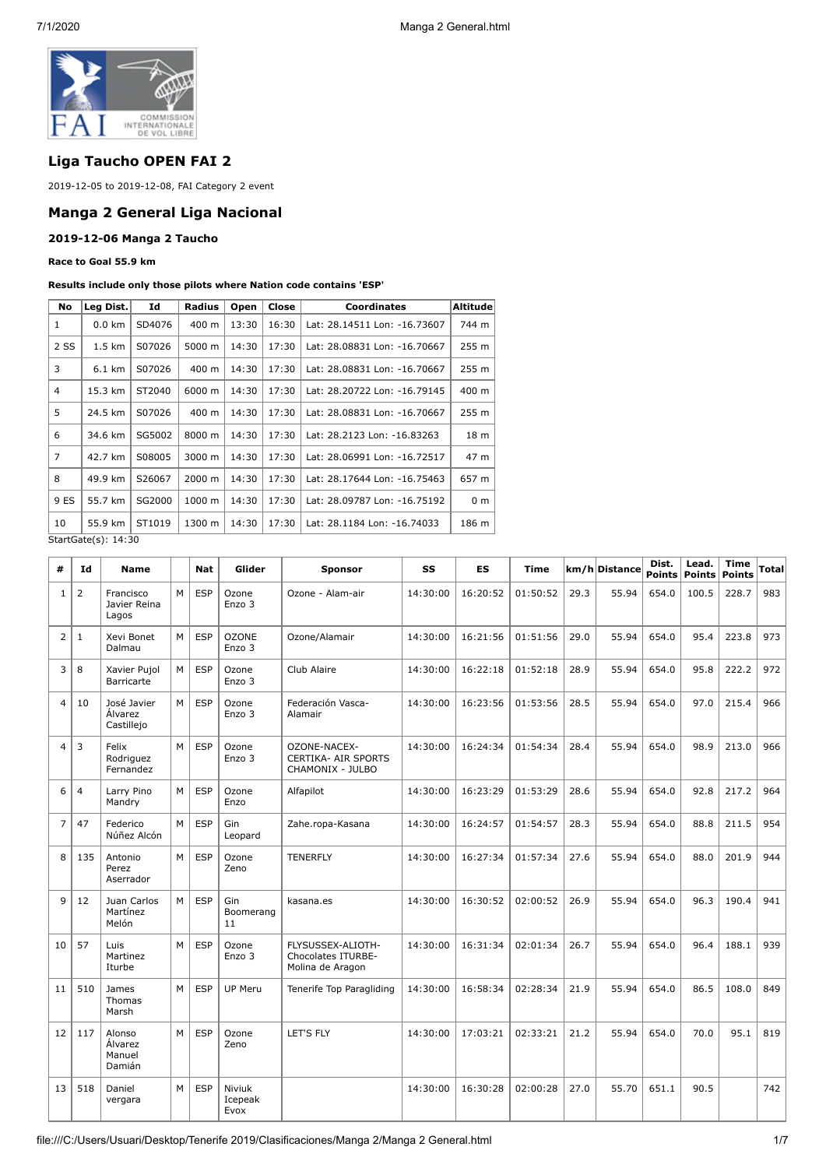

# **Liga Taucho OPEN FAI 2**

2019-12-05 to 2019-12-08, FAI Category 2 event

## **Manga 2 General Liga Nacional**

#### **2019-12-06 Manga 2 Taucho**

#### **Race to Goal 55.9 km**

#### **Results include only those pilots where Nation code contains 'ESP'**

| No             | Leg Dist.                                                                    | Id     | <b>Radius</b> | Open  | Close | <b>Coordinates</b>           | Altitude       |  |  |  |
|----------------|------------------------------------------------------------------------------|--------|---------------|-------|-------|------------------------------|----------------|--|--|--|
| 1              | $0.0 \text{ km}$                                                             | SD4076 | 400 m         | 13:30 | 16:30 | Lat: 28.14511 Lon: -16.73607 | 744 m          |  |  |  |
| 2 SS           | $1.5 \text{ km}$                                                             | S07026 | 5000 m        | 14:30 | 17:30 | Lat: 28.08831 Lon: -16.70667 | 255 m          |  |  |  |
| 3              | $6.1 \text{ km}$                                                             | S07026 | 400 m         | 14:30 | 17:30 | Lat: 28.08831 Lon: -16.70667 | 255 m          |  |  |  |
| $\overline{4}$ | 15.3 km                                                                      | ST2040 | 6000 m        | 14:30 | 17:30 | Lat: 28.20722 Lon: -16.79145 | 400 m          |  |  |  |
| 5              | 24.5 km                                                                      | S07026 | 400 m         | 14:30 | 17:30 | Lat: 28.08831 Lon: -16.70667 | 255 m          |  |  |  |
| 6              | 34.6 km                                                                      | SG5002 | 8000 m        | 14:30 | 17:30 | Lat: 28.2123 Lon: -16.83263  | 18 m           |  |  |  |
| $\overline{7}$ | 42.7 km                                                                      | S08005 | 3000 m        | 14:30 | 17:30 | Lat: 28.06991 Lon: -16.72517 | 47 m           |  |  |  |
| 8              | 49.9 km                                                                      | S26067 | 2000 m        | 14:30 | 17:30 | Lat: 28.17644 Lon: -16.75463 | 657 m          |  |  |  |
| 9 ES           | 55.7 km                                                                      | SG2000 | 1000 m        | 14:30 | 17:30 | Lat: 28.09787 Lon: -16.75192 | 0 <sub>m</sub> |  |  |  |
| 10             | 55.9 km                                                                      | ST1019 | 1300 m        | 14:30 | 17:30 | Lat: 28.1184 Lon: -16.74033  | 186 m          |  |  |  |
|                | $C+$ <sub>2</sub> $+C$ <sub>2</sub> $+$ <sub>0</sub> $(c)$ , 1 <i>A</i> , 20 |        |               |       |       |                              |                |  |  |  |

StartGate(s): 14:30

| #              | Id             | <b>Name</b>                           |   | <b>Nat</b> | Glider                    | <b>Sponsor</b>                                                 | SS       | ES       | <b>Time</b> |      | km/h Distance | Dist.<br><b>Points</b> | Lead.<br>Points | <b>Time</b><br><b>Points</b> | Total |
|----------------|----------------|---------------------------------------|---|------------|---------------------------|----------------------------------------------------------------|----------|----------|-------------|------|---------------|------------------------|-----------------|------------------------------|-------|
| $\mathbf{1}$   | 2              | Francisco<br>Javier Reina<br>Lagos    | M | <b>ESP</b> | Ozone<br>Enzo 3           | Ozone - Alam-air                                               | 14:30:00 | 16:20:52 | 01:50:52    | 29.3 | 55.94         | 654.0                  | 100.5           | 228.7                        | 983   |
| $\overline{2}$ | 1              | Xevi Bonet<br>Dalmau                  | м | <b>ESP</b> | <b>OZONE</b><br>Enzo 3    | Ozone/Alamair                                                  | 14:30:00 | 16:21:56 | 01:51:56    | 29.0 | 55.94         | 654.0                  | 95.4            | 223.8                        | 973   |
| 3              | 8              | Xavier Pujol<br><b>Barricarte</b>     | M | <b>ESP</b> | Ozone<br>Enzo 3           | Club Alaire                                                    | 14:30:00 | 16:22:18 | 01:52:18    | 28.9 | 55.94         | 654.0                  | 95.8            | 222.2                        | 972   |
| $\overline{4}$ | 10             | José Javier<br>Álvarez<br>Castillejo  | M | <b>ESP</b> | Ozone<br>Enzo 3           | Federación Vasca-<br>Alamair                                   | 14:30:00 | 16:23:56 | 01:53:56    | 28.5 | 55.94         | 654.0                  | 97.0            | 215.4                        | 966   |
| 4              | 3              | Felix<br>Rodriguez<br>Fernandez       | M | <b>ESP</b> | Ozone<br>Enzo 3           | OZONE-NACEX-<br><b>CERTIKA- AIR SPORTS</b><br>CHAMONIX - JULBO | 14:30:00 | 16:24:34 | 01:54:34    | 28.4 | 55.94         | 654.0                  | 98.9            | 213.0                        | 966   |
| 6              | $\overline{4}$ | Larry Pino<br>Mandry                  | м | <b>ESP</b> | Ozone<br>Enzo             | Alfapilot                                                      | 14:30:00 | 16:23:29 | 01:53:29    | 28.6 | 55.94         | 654.0                  | 92.8            | 217.2                        | 964   |
| $\overline{7}$ | 47             | Federico<br>Núñez Alcón               | M | <b>ESP</b> | Gin<br>Leopard            | Zahe.ropa-Kasana                                               | 14:30:00 | 16:24:57 | 01:54:57    | 28.3 | 55.94         | 654.0                  | 88.8            | 211.5                        | 954   |
| 8              | 135            | Antonio<br>Perez<br>Aserrador         | M | <b>ESP</b> | Ozone<br>Zeno             | <b>TENERFLY</b>                                                | 14:30:00 | 16:27:34 | 01:57:34    | 27.6 | 55.94         | 654.0                  | 88.0            | 201.9                        | 944   |
| 9              | 12             | Juan Carlos<br>Martínez<br>Melón      | M | <b>ESP</b> | Gin<br>Boomerang<br>11    | kasana.es                                                      | 14:30:00 | 16:30:52 | 02:00:52    | 26.9 | 55.94         | 654.0                  | 96.3            | 190.4                        | 941   |
| 10             | 57             | <b>Luis</b><br>Martinez<br>Iturbe     | M | <b>ESP</b> | Ozone<br>Enzo 3           | FLYSUSSEX-ALIOTH-<br>Chocolates ITURBE-<br>Molina de Aragon    | 14:30:00 | 16:31:34 | 02:01:34    | 26.7 | 55.94         | 654.0                  | 96.4            | 188.1                        | 939   |
| 11             | 510            | James<br>Thomas<br>Marsh              | M | <b>ESP</b> | <b>UP Meru</b>            | Tenerife Top Paragliding                                       | 14:30:00 | 16:58:34 | 02:28:34    | 21.9 | 55.94         | 654.0                  | 86.5            | 108.0                        | 849   |
| 12             | 117            | Alonso<br>Álvarez<br>Manuel<br>Damián | M | <b>ESP</b> | Ozone<br>Zeno             | <b>LET'S FLY</b>                                               | 14:30:00 | 17:03:21 | 02:33:21    | 21.2 | 55.94         | 654.0                  | 70.0            | 95.1                         | 819   |
| 13             | 518            | Daniel<br>vergara                     | M | <b>ESP</b> | Niviuk<br>Icepeak<br>Evox |                                                                | 14:30:00 | 16:30:28 | 02:00:28    | 27.0 | 55.70         | 651.1                  | 90.5            |                              | 742   |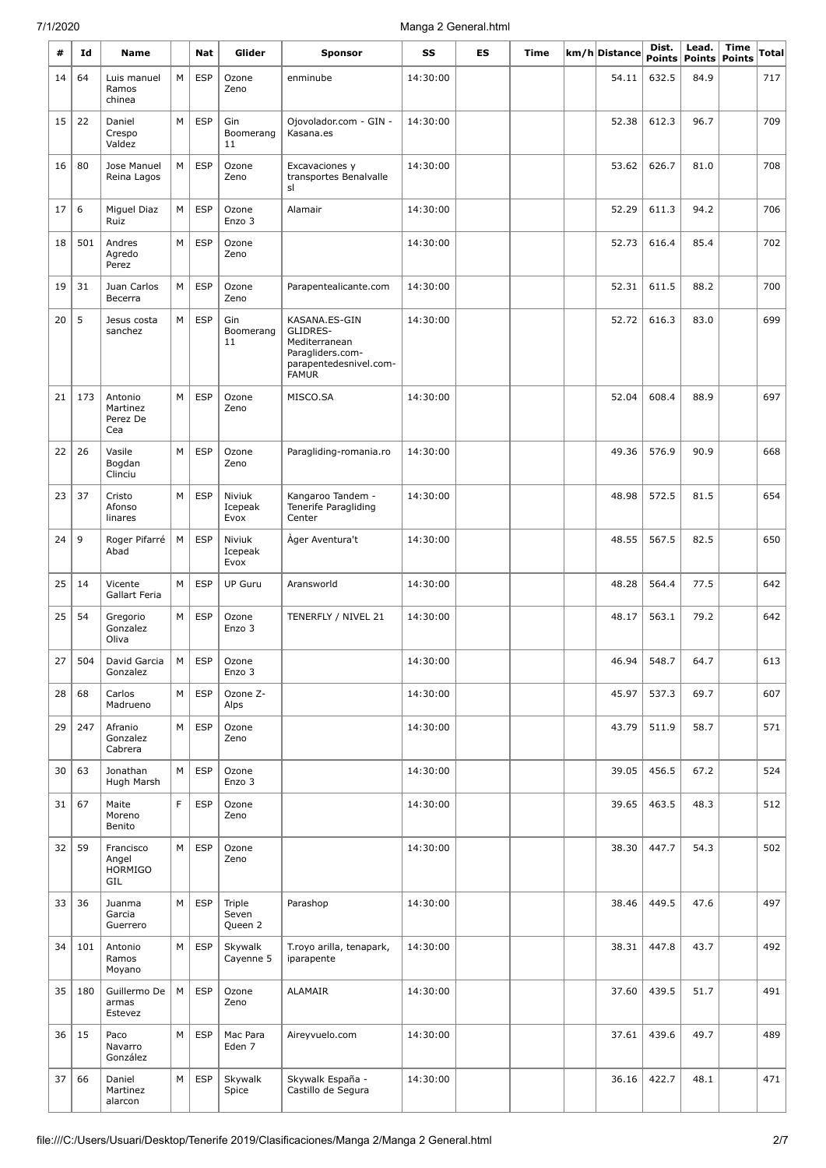| #  | Id  | Name                                        |   | Nat        | Glider                     | <b>Sponsor</b>                                                                                           | SS       | ES | Time | km/h Distance | Dist.                  | Lead.                 | Time          | Total |
|----|-----|---------------------------------------------|---|------------|----------------------------|----------------------------------------------------------------------------------------------------------|----------|----|------|---------------|------------------------|-----------------------|---------------|-------|
| 14 | 64  | Luis manuel                                 | M | <b>ESP</b> | Ozone                      | enminube                                                                                                 | 14:30:00 |    |      | 54.11         | <b>Points</b><br>632.5 | <b>Points</b><br>84.9 | <b>Points</b> | 717   |
|    |     | Ramos<br>chinea                             |   |            | Zeno                       |                                                                                                          |          |    |      |               |                        |                       |               |       |
| 15 | 22  | Daniel<br>Crespo<br>Valdez                  | M | <b>ESP</b> | Gin<br>Boomerang<br>11     | Ojovolador.com - GIN -<br>Kasana.es                                                                      | 14:30:00 |    |      | 52.38         | 612.3                  | 96.7                  |               | 709   |
| 16 | 80  | Jose Manuel<br>Reina Lagos                  | M | <b>ESP</b> | Ozone<br>Zeno              | Excavaciones y<br>transportes Benalvalle<br>sl                                                           | 14:30:00 |    |      | 53.62         | 626.7                  | 81.0                  |               | 708   |
| 17 | 6   | Miguel Diaz<br>Ruiz                         | M | <b>ESP</b> | Ozone<br>Enzo 3            | Alamair                                                                                                  | 14:30:00 |    |      | 52.29         | 611.3                  | 94.2                  |               | 706   |
| 18 | 501 | Andres<br>Agredo<br>Perez                   | M | <b>ESP</b> | Ozone<br>Zeno              |                                                                                                          | 14:30:00 |    |      | 52.73         | 616.4                  | 85.4                  |               | 702   |
| 19 | 31  | Juan Carlos<br>Becerra                      | M | <b>ESP</b> | Ozone<br>Zeno              | Parapentealicante.com                                                                                    | 14:30:00 |    |      | 52.31         | 611.5                  | 88.2                  |               | 700   |
| 20 | 5   | Jesus costa<br>sanchez                      | M | <b>ESP</b> | Gin<br>Boomerang<br>11     | KASANA.ES-GIN<br>GLIDRES-<br>Mediterranean<br>Paragliders.com-<br>parapentedesnivel.com-<br><b>FAMUR</b> | 14:30:00 |    |      | 52.72         | 616.3                  | 83.0                  |               | 699   |
| 21 | 173 | Antonio<br>Martinez<br>Perez De<br>Cea      | M | <b>ESP</b> | Ozone<br>Zeno              | MISCO.SA                                                                                                 | 14:30:00 |    |      | 52.04         | 608.4                  | 88.9                  |               | 697   |
| 22 | 26  | Vasile<br>Bogdan<br>Clinciu                 | M | <b>ESP</b> | Ozone<br>Zeno              | Paragliding-romania.ro                                                                                   | 14:30:00 |    |      | 49.36         | 576.9                  | 90.9                  |               | 668   |
| 23 | 37  | Cristo<br>Afonso<br>linares                 | M | <b>ESP</b> | Niviuk<br>Icepeak<br>Evox  | Kangaroo Tandem -<br>Tenerife Paragliding<br>Center                                                      | 14:30:00 |    |      | 48.98         | 572.5                  | 81.5                  |               | 654   |
| 24 | 9   | Roger Pifarré<br>Abad                       | M | <b>ESP</b> | Niviuk<br>Icepeak<br>Evox  | Åger Aventura't                                                                                          | 14:30:00 |    |      | 48.55         | 567.5                  | 82.5                  |               | 650   |
| 25 | 14  | Vicente<br>Gallart Feria                    | M | <b>ESP</b> | <b>UP Guru</b>             | Aransworld                                                                                               | 14:30:00 |    |      | 48.28         | 564.4                  | 77.5                  |               | 642   |
| 25 | 54  | Gregorio<br>Gonzalez<br>Oliva               | M | <b>ESP</b> | Ozone<br>Enzo 3            | TENERFLY / NIVEL 21                                                                                      | 14:30:00 |    |      | 48.17         | 563.1                  | 79.2                  |               | 642   |
| 27 | 504 | David Garcia<br>Gonzalez                    | м | <b>ESP</b> | Ozone<br>Enzo 3            |                                                                                                          | 14:30:00 |    |      | 46.94         | 548.7                  | 64.7                  |               | 613   |
| 28 | 68  | Carlos<br>Madrueno                          | М | <b>ESP</b> | Ozone Z-<br>Alps           |                                                                                                          | 14:30:00 |    |      | 45.97         | 537.3                  | 69.7                  |               | 607   |
| 29 | 247 | Afranio<br>Gonzalez<br>Cabrera              | M | <b>ESP</b> | Ozone<br>Zeno              |                                                                                                          | 14:30:00 |    |      | 43.79         | 511.9                  | 58.7                  |               | 571   |
| 30 | 63  | Jonathan<br>Hugh Marsh                      | М | <b>ESP</b> | Ozone<br>Enzo 3            |                                                                                                          | 14:30:00 |    |      | 39.05         | 456.5                  | 67.2                  |               | 524   |
| 31 | 67  | Maite<br>Moreno<br>Benito                   | F | <b>ESP</b> | Ozone<br>Zeno              |                                                                                                          | 14:30:00 |    |      | 39.65         | 463.5                  | 48.3                  |               | 512   |
| 32 | 59  | Francisco<br>Angel<br><b>HORMIGO</b><br>GIL | M | <b>ESP</b> | Ozone<br>Zeno              |                                                                                                          | 14:30:00 |    |      | 38.30         | 447.7                  | 54.3                  |               | 502   |
| 33 | 36  | Juanma<br>Garcia<br>Guerrero                | M | <b>ESP</b> | Triple<br>Seven<br>Queen 2 | Parashop                                                                                                 | 14:30:00 |    |      | 38.46         | 449.5                  | 47.6                  |               | 497   |
| 34 | 101 | Antonio<br>Ramos<br>Moyano                  | M | <b>ESP</b> | Skywalk<br>Cayenne 5       | T.royo arilla, tenapark,<br>iparapente                                                                   | 14:30:00 |    |      | 38.31         | 447.8                  | 43.7                  |               | 492   |
| 35 | 180 | Guillermo De<br>armas<br>Estevez            | M | <b>ESP</b> | Ozone<br>Zeno              | ALAMAIR                                                                                                  | 14:30:00 |    |      | 37.60         | 439.5                  | 51.7                  |               | 491   |
| 36 | 15  | Paco<br>Navarro<br>González                 | M | <b>ESP</b> | Mac Para<br>Eden 7         | Aireyvuelo.com                                                                                           | 14:30:00 |    |      | 37.61         | 439.6                  | 49.7                  |               | 489   |
| 37 | 66  | Daniel<br>Martinez<br>alarcon               | М | <b>ESP</b> | Skywalk<br>Spice           | Skywalk España -<br>Castillo de Segura                                                                   | 14:30:00 |    |      | 36.16         | 422.7                  | 48.1                  |               | 471   |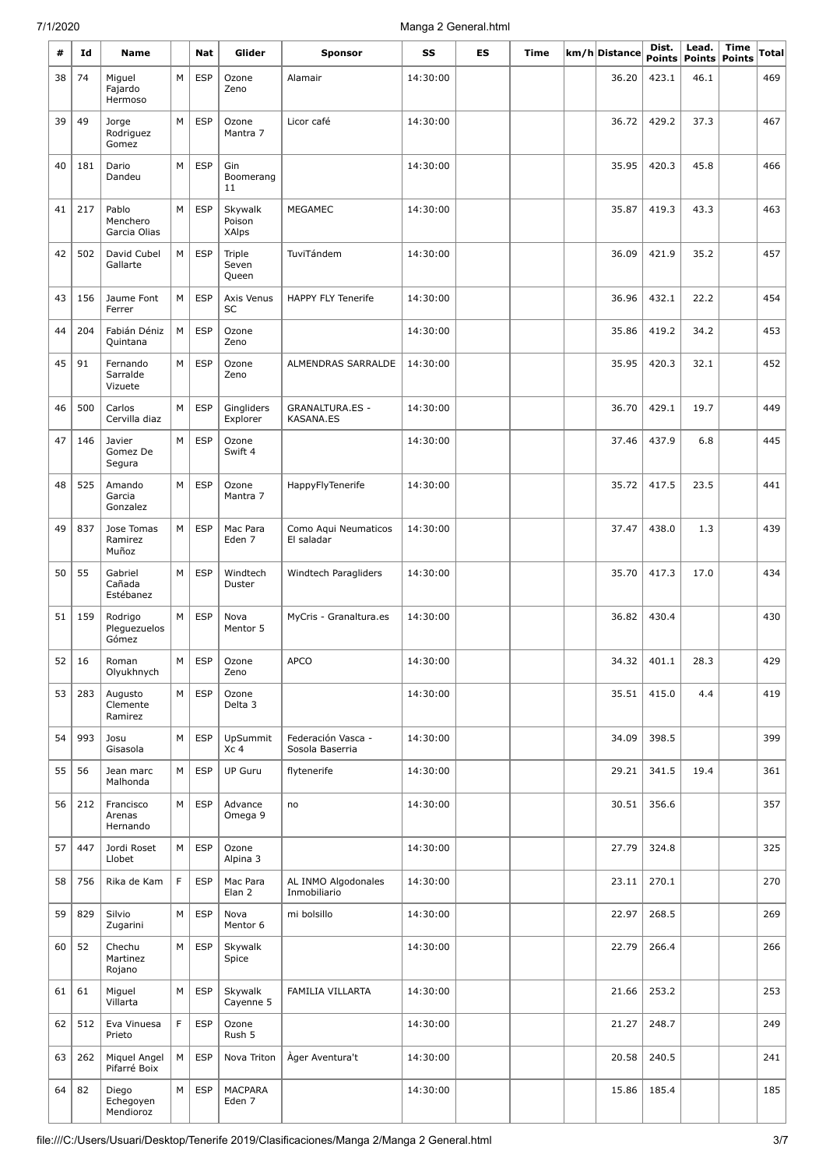| #  | Id  | <b>Name</b>                       |   | Nat        | Glider                      | <b>Sponsor</b>                             | SS       | ES | Time | km/h Distance | Dist.<br><b>Points</b> | Lead.<br>Points | Time<br><b>Points</b> | Total |
|----|-----|-----------------------------------|---|------------|-----------------------------|--------------------------------------------|----------|----|------|---------------|------------------------|-----------------|-----------------------|-------|
| 38 | 74  | Miguel<br>Fajardo<br>Hermoso      | M | <b>ESP</b> | Ozone<br>Zeno               | Alamair                                    | 14:30:00 |    |      | 36.20         | 423.1                  | 46.1            |                       | 469   |
| 39 | 49  | Jorge<br>Rodriguez<br>Gomez       | M | <b>ESP</b> | Ozone<br>Mantra 7           | Licor café                                 | 14:30:00 |    |      | 36.72         | 429.2                  | 37.3            |                       | 467   |
| 40 | 181 | Dario<br>Dandeu                   | М | <b>ESP</b> | Gin<br>Boomerang<br>11      |                                            | 14:30:00 |    |      | 35.95         | 420.3                  | 45.8            |                       | 466   |
| 41 | 217 | Pablo<br>Menchero<br>Garcia Olias | M | <b>ESP</b> | Skywalk<br>Poison<br>XAlps  | <b>MEGAMEC</b>                             | 14:30:00 |    |      | 35.87         | 419.3                  | 43.3            |                       | 463   |
| 42 | 502 | David Cubel<br>Gallarte           | М | <b>ESP</b> | Triple<br>Seven<br>Queen    | TuviTándem                                 | 14:30:00 |    |      | 36.09         | 421.9                  | 35.2            |                       | 457   |
| 43 | 156 | Jaume Font<br>Ferrer              | M | <b>ESP</b> | Axis Venus<br>SC            | <b>HAPPY FLY Tenerife</b>                  | 14:30:00 |    |      | 36.96         | 432.1                  | 22.2            |                       | 454   |
| 44 | 204 | Fabián Déniz<br>Quintana          | M | <b>ESP</b> | Ozone<br>Zeno               |                                            | 14:30:00 |    |      | 35.86         | 419.2                  | 34.2            |                       | 453   |
| 45 | 91  | Fernando<br>Sarralde<br>Vizuete   | M | <b>ESP</b> | Ozone<br>Zeno               | ALMENDRAS SARRALDE                         | 14:30:00 |    |      | 35.95         | 420.3                  | 32.1            |                       | 452   |
| 46 | 500 | Carlos<br>Cervilla diaz           | M | <b>ESP</b> | Gingliders<br>Explorer      | <b>GRANALTURA.ES -</b><br><b>KASANA.ES</b> | 14:30:00 |    |      | 36.70         | 429.1                  | 19.7            |                       | 449   |
| 47 | 146 | Javier<br>Gomez De<br>Segura      | М | <b>ESP</b> | Ozone<br>Swift 4            |                                            | 14:30:00 |    |      | 37.46         | 437.9                  | 6.8             |                       | 445   |
| 48 | 525 | Amando<br>Garcia<br>Gonzalez      | M | <b>ESP</b> | Ozone<br>Mantra 7           | HappyFlyTenerife                           | 14:30:00 |    |      | 35.72         | 417.5                  | 23.5            |                       | 441   |
| 49 | 837 | Jose Tomas<br>Ramirez<br>Muñoz    | M | <b>ESP</b> | Mac Para<br>Eden 7          | Como Aqui Neumaticos<br>El saladar         | 14:30:00 |    |      | 37.47         | 438.0                  | 1.3             |                       | 439   |
| 50 | 55  | Gabriel<br>Cañada<br>Estébanez    | M | <b>ESP</b> | Windtech<br>Duster          | Windtech Paragliders                       | 14:30:00 |    |      | 35.70         | 417.3                  | 17.0            |                       | 434   |
| 51 | 159 | Rodrigo<br>Pleguezuelos<br>Gómez  | M | <b>ESP</b> | Nova<br>Mentor 5            | MyCris - Granaltura.es                     | 14:30:00 |    |      | 36.82         | 430.4                  |                 |                       | 430   |
| 52 | 16  | Roman<br>Olyukhnych               | М | <b>ESP</b> | Ozone<br>Zeno               | APCO                                       | 14:30:00 |    |      | 34.32         | 401.1                  | 28.3            |                       | 429   |
| 53 | 283 | Augusto<br>Clemente<br>Ramirez    | M | <b>ESP</b> | Ozone<br>Delta 3            |                                            | 14:30:00 |    |      | 35.51         | 415.0                  | 4.4             |                       | 419   |
| 54 | 993 | Josu<br>Gisasola                  | М | <b>ESP</b> | UpSummit<br>Xc <sub>4</sub> | Federación Vasca -<br>Sosola Baserria      | 14:30:00 |    |      | 34.09         | 398.5                  |                 |                       | 399   |
| 55 | 56  | Jean marc<br>Malhonda             | М | <b>ESP</b> | <b>UP Guru</b>              | flytenerife                                | 14:30:00 |    |      | 29.21         | 341.5                  | 19.4            |                       | 361   |
| 56 | 212 | Francisco<br>Arenas<br>Hernando   | M | <b>ESP</b> | Advance<br>Omega 9          | no                                         | 14:30:00 |    |      | 30.51         | 356.6                  |                 |                       | 357   |
| 57 | 447 | Jordi Roset<br>Llobet             | M | <b>ESP</b> | Ozone<br>Alpina 3           |                                            | 14:30:00 |    |      | 27.79         | 324.8                  |                 |                       | 325   |
| 58 | 756 | Rika de Kam                       | F | <b>ESP</b> | Mac Para<br>Elan 2          | AL INMO Algodonales<br>Inmobiliario        | 14:30:00 |    |      | 23.11         | 270.1                  |                 |                       | 270   |
| 59 | 829 | Silvio<br>Zugarini                | М | <b>ESP</b> | Nova<br>Mentor 6            | mi bolsillo                                | 14:30:00 |    |      | 22.97         | 268.5                  |                 |                       | 269   |
| 60 | 52  | Chechu<br>Martinez<br>Rojano      | M | <b>ESP</b> | Skywalk<br>Spice            |                                            | 14:30:00 |    |      | 22.79         | 266.4                  |                 |                       | 266   |
| 61 | 61  | Miguel<br>Villarta                | M | <b>ESP</b> | Skywalk<br>Cayenne 5        | FAMILIA VILLARTA                           | 14:30:00 |    |      | 21.66         | 253.2                  |                 |                       | 253   |
| 62 | 512 | Eva Vinuesa<br>Prieto             | F | <b>ESP</b> | Ozone<br>Rush 5             |                                            | 14:30:00 |    |      | 21.27         | 248.7                  |                 |                       | 249   |
| 63 | 262 | Miquel Angel<br>Pifarré Boix      | M | <b>ESP</b> | Nova Triton                 | Àger Aventura't                            | 14:30:00 |    |      | 20.58         | 240.5                  |                 |                       | 241   |
| 64 | 82  | Diego<br>Echegoyen<br>Mendioroz   | М | <b>ESP</b> | MACPARA<br>Eden 7           |                                            | 14:30:00 |    |      | 15.86         | 185.4                  |                 |                       | 185   |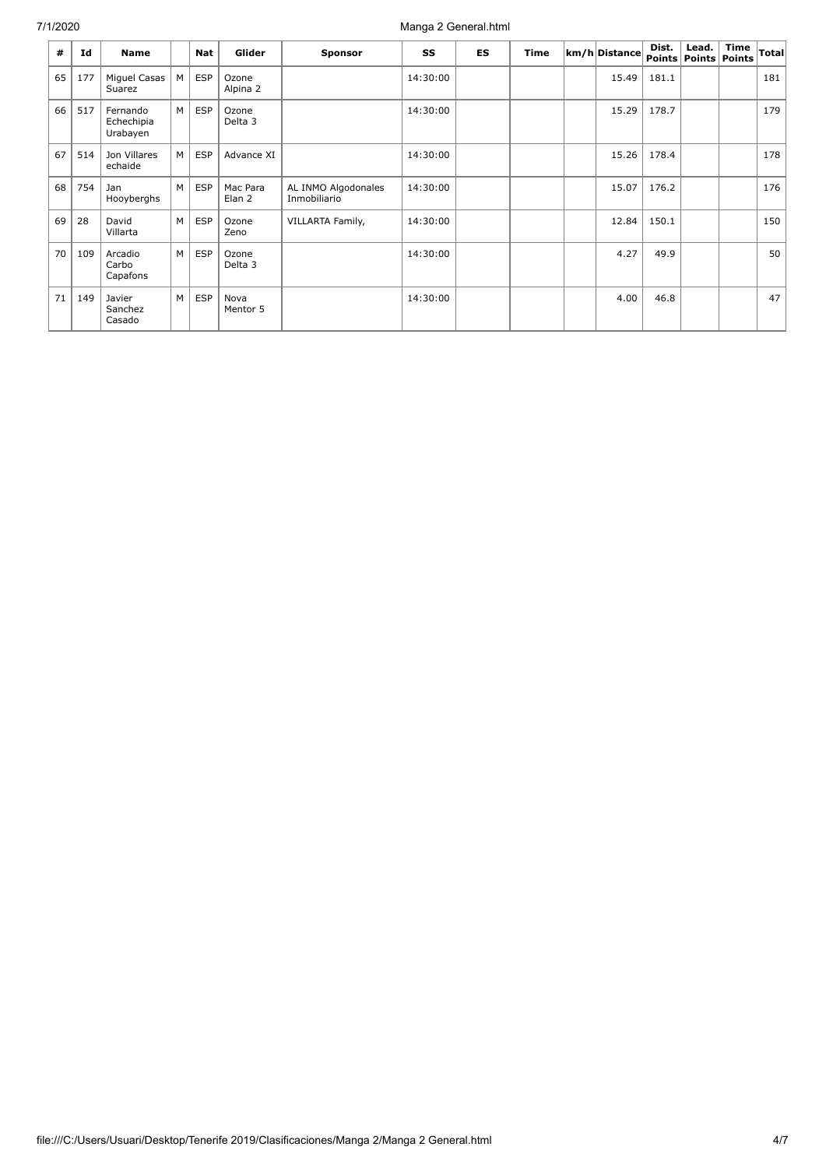| #  | Id  | <b>Name</b>                        |   | Nat        | Glider                      | <b>Sponsor</b>                      | SS       | <b>ES</b> | <b>Time</b> | km/h Distance | Dist. | Lead.<br>Points   Points   Points | <b>Time</b> | Total |
|----|-----|------------------------------------|---|------------|-----------------------------|-------------------------------------|----------|-----------|-------------|---------------|-------|-----------------------------------|-------------|-------|
| 65 | 177 | Miquel Casas<br>Suarez             | М | <b>ESP</b> | Ozone<br>Alpina 2           |                                     | 14:30:00 |           |             | 15.49         | 181.1 |                                   |             | 181   |
| 66 | 517 | Fernando<br>Echechipia<br>Urabayen | м | <b>ESP</b> | Ozone<br>Delta <sub>3</sub> |                                     | 14:30:00 |           |             | 15.29         | 178.7 |                                   |             | 179   |
| 67 | 514 | Jon Villares<br>echaide            | М | <b>ESP</b> | Advance XI                  |                                     | 14:30:00 |           |             | 15.26         | 178.4 |                                   |             | 178   |
| 68 | 754 | Jan<br>Hooyberghs                  | M | <b>ESP</b> | Mac Para<br>Elan 2          | AL INMO Algodonales<br>Inmobiliario | 14:30:00 |           |             | 15.07         | 176.2 |                                   |             | 176   |
| 69 | 28  | David<br>Villarta                  | м | <b>ESP</b> | Ozone<br>Zeno               | VILLARTA Family,                    | 14:30:00 |           |             | 12.84         | 150.1 |                                   |             | 150   |
| 70 | 109 | Arcadio<br>Carbo<br>Capafons       | M | <b>ESP</b> | Ozone<br>Delta 3            |                                     | 14:30:00 |           |             | 4.27          | 49.9  |                                   |             | 50    |
| 71 | 149 | Javier<br>Sanchez<br>Casado        | м | <b>ESP</b> | Nova<br>Mentor 5            |                                     | 14:30:00 |           |             | 4.00          | 46.8  |                                   |             | 47    |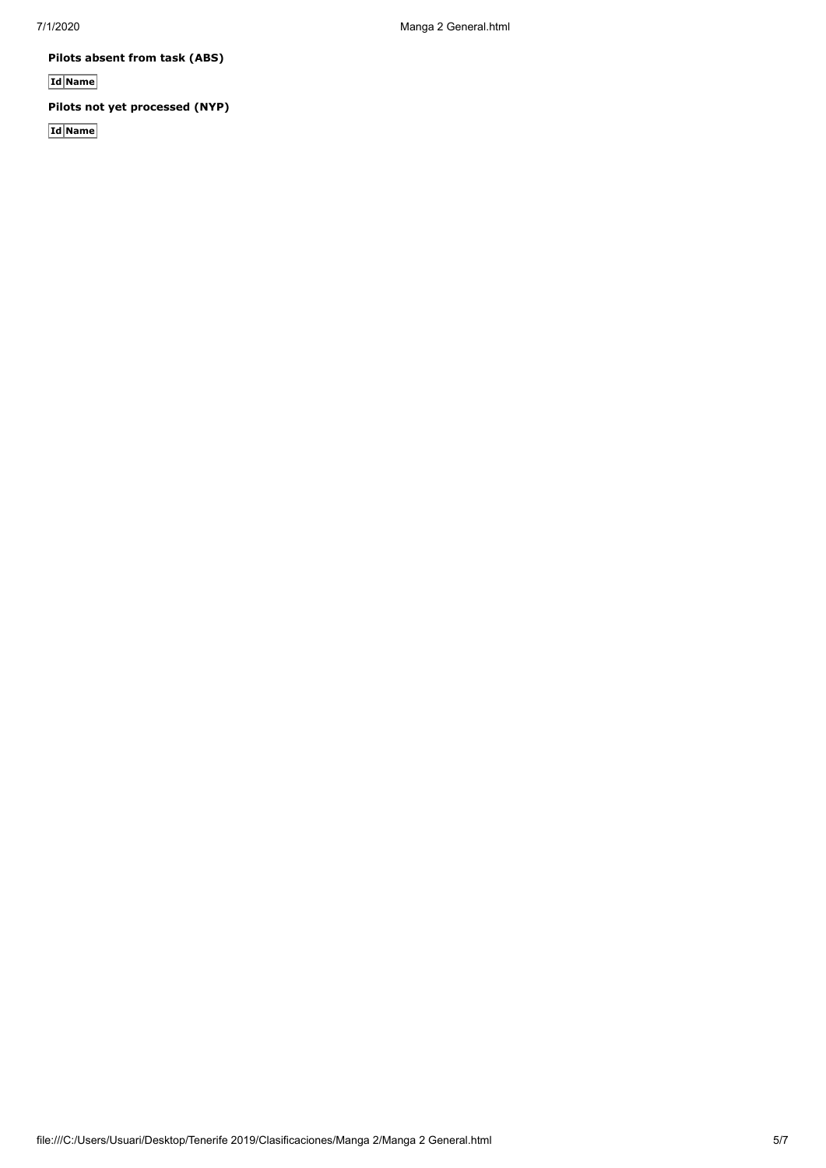**Pilots absent from task (ABS)**

**Id Name**

**Pilots not yet processed (NYP)**

**Id Name**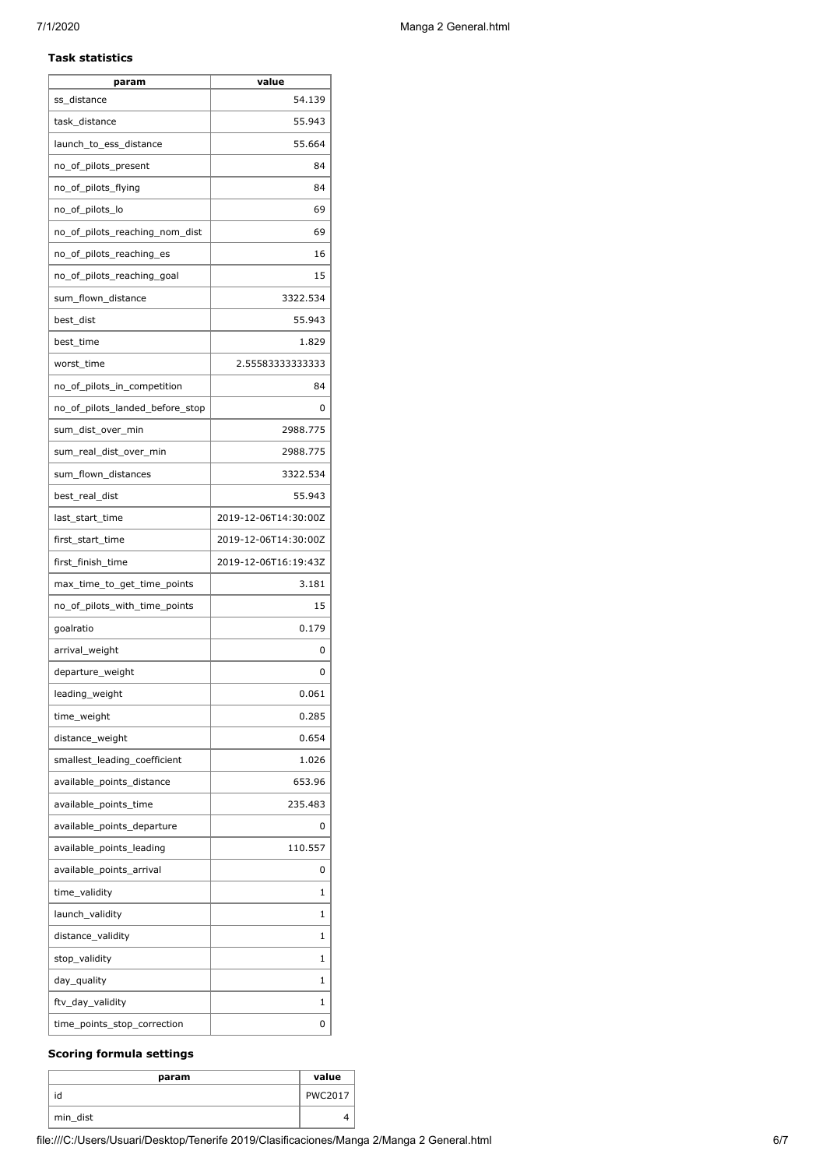# **Task statistics**

| param                           | value                |
|---------------------------------|----------------------|
| ss distance                     | 54.139               |
| task distance                   | 55.943               |
| launch to ess distance          | 55.664               |
| no_of_pilots_present            | 84                   |
| no_of_pilots_flying             | 84                   |
| no_of_pilots_lo                 | 69                   |
| no_of_pilots_reaching_nom_dist  | 69                   |
| no_of_pilots_reaching_es        | 16                   |
| no_of_pilots_reaching_goal      | 15                   |
| sum_flown_distance              | 3322.534             |
| best_dist                       | 55.943               |
| best time                       | 1.829                |
| worst_time                      | 2.55583333333333     |
| no_of_pilots_in_competition     | 84                   |
| no_of_pilots_landed_before_stop | 0                    |
| sum_dist_over_min               | 2988.775             |
| sum real dist over min          | 2988.775             |
| sum_flown_distances             | 3322.534             |
| best_real_dist                  | 55.943               |
| last_start_time                 | 2019-12-06T14:30:00Z |
| first_start_time                | 2019-12-06T14:30:00Z |
| first_finish_time               | 2019-12-06T16:19:43Z |
| max_time_to_get_time_points     | 3.181                |
| no_of_pilots_with_time_points   | 15                   |
| goalratio                       | 0.179                |
| arrival_weight                  | 0                    |
| departure_weight                | 0                    |
| leading_weight                  | 0.061                |
| time_weight                     | 0.285                |
| distance_weight                 | 0.654                |
| smallest_leading_coefficient    | 1.026                |
| available_points_distance       | 653.96               |
| available_points_time           | 235.483              |
| available_points_departure      | 0                    |
| available_points_leading        | 110.557              |
| available_points_arrival        | 0                    |
| time_validity                   | 1                    |
| launch_validity                 | 1                    |
| distance_validity               | 1                    |
| stop_validity                   | 1                    |
| day_quality                     | 1                    |
|                                 | 1                    |
| ftv_day_validity                |                      |
| time_points_stop_correction     | 0                    |

# **Scoring formula settings**

| param    | value          |
|----------|----------------|
| id       | <b>PWC2017</b> |
| min_dist |                |